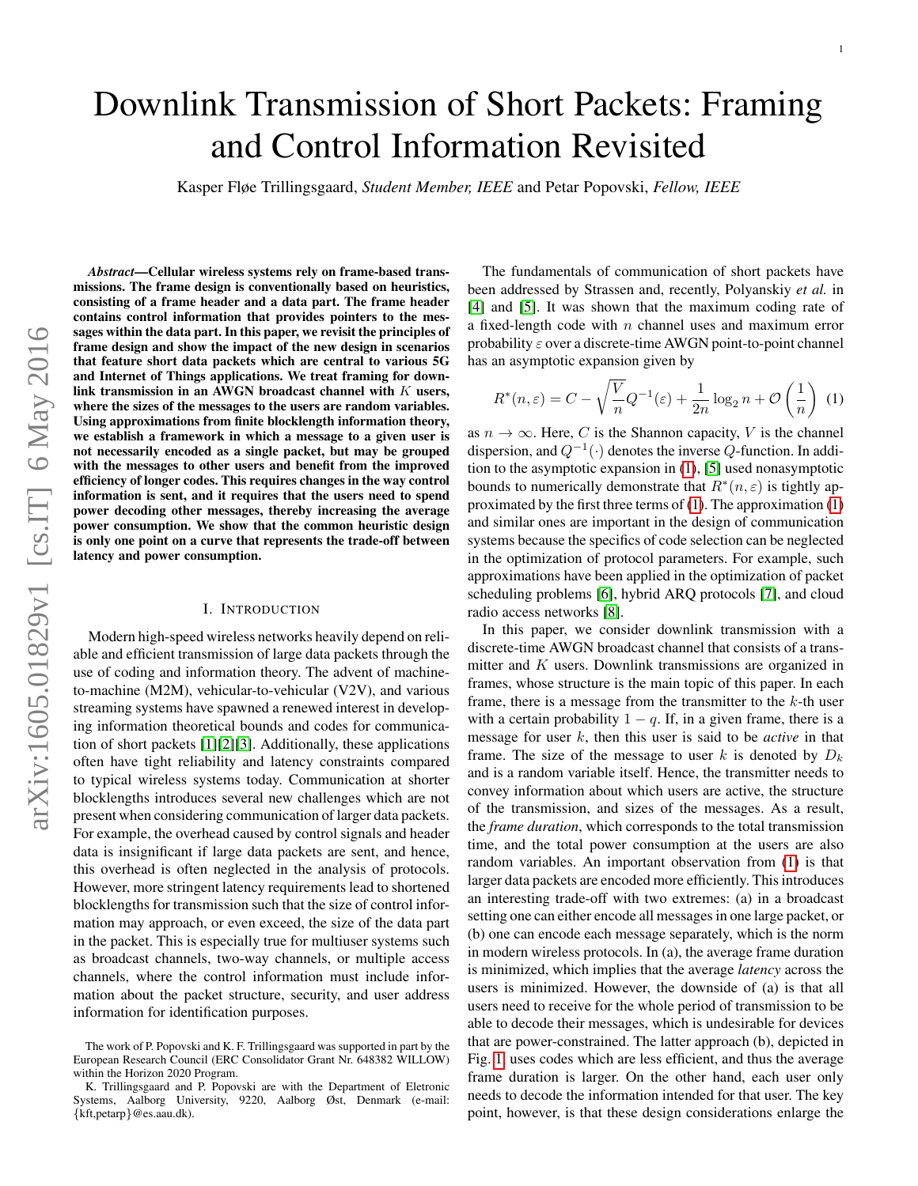# Downlink Transmission of Short Packets: Framing and Control Information Revisited

Kasper Fløe Trillingsgaard, *Student Member, IEEE* and Petar Popovski, *Fellow, IEEE*

*Abstract*—Cellular wireless systems rely on frame-based transmissions. The frame design is conventionally based on heuristics, consisting of a frame header and a data part. The frame header contains control information that provides pointers to the messages within the data part. In this paper, we revisit the principles of frame design and show the impact of the new design in scenarios that feature short data packets which are central to various 5G and Internet of Things applications. We treat framing for downlink transmission in an AWGN broadcast channel with  $K$  users, where the sizes of the messages to the users are random variables. Using approximations from finite blocklength information theory, we establish a framework in which a message to a given user is not necessarily encoded as a single packet, but may be grouped with the messages to other users and benefit from the improved efficiency of longer codes. This requires changes in the way control information is sent, and it requires that the users need to spend power decoding other messages, thereby increasing the average power consumption. We show that the common heuristic design is only one point on a curve that represents the trade-off between latency and power consumption.

## I. INTRODUCTION

<span id="page-0-0"></span>Modern high-speed wireless networks heavily depend on reliable and efficient transmission of large data packets through the use of coding and information theory. The advent of machineto-machine (M2M), vehicular-to-vehicular (V2V), and various streaming systems have spawned a renewed interest in developing information theoretical bounds and codes for communication of short packets [\[1\]](#page-9-0)[\[2\]](#page-9-1)[\[3\]](#page-9-2). Additionally, these applications often have tight reliability and latency constraints compared to typical wireless systems today. Communication at shorter blocklengths introduces several new challenges which are not present when considering communication of larger data packets. For example, the overhead caused by control signals and header data is insignificant if large data packets are sent, and hence, this overhead is often neglected in the analysis of protocols. However, more stringent latency requirements lead to shortened blocklengths for transmission such that the size of control information may approach, or even exceed, the size of the data part in the packet. This is especially true for multiuser systems such as broadcast channels, two-way channels, or multiple access channels, where the control information must include information about the packet structure, security, and user address information for identification purposes.

The fundamentals of communication of short packets have been addressed by Strassen and, recently, Polyanskiy *et al.* in [\[4\]](#page-9-3) and [\[5\]](#page-9-4). It was shown that the maximum coding rate of a fixed-length code with  $n$  channel uses and maximum error probability  $\varepsilon$  over a discrete-time AWGN point-to-point channel has an asymptotic expansion given by

$$
R^*(n,\varepsilon) = C - \sqrt{\frac{V}{n}}Q^{-1}(\varepsilon) + \frac{1}{2n}\log_2 n + \mathcal{O}\left(\frac{1}{n}\right)
$$
 (1)

as  $n \to \infty$ . Here, C is the Shannon capacity, V is the channel dispersion, and  $Q^{-1}(\cdot)$  denotes the inverse  $Q$ -function. In addition to the asymptotic expansion in [\(1\)](#page-0-0), [\[5\]](#page-9-4) used nonasymptotic bounds to numerically demonstrate that  $R^*(n, \varepsilon)$  is tightly approximated by the first three terms of [\(1\)](#page-0-0). The approximation [\(1\)](#page-0-0) and similar ones are important in the design of communication systems because the specifics of code selection can be neglected in the optimization of protocol parameters. For example, such approximations have been applied in the optimization of packet scheduling problems [\[6\]](#page-9-5), hybrid ARQ protocols [\[7\]](#page-9-6), and cloud radio access networks [\[8\]](#page-9-7).

In this paper, we consider downlink transmission with a discrete-time AWGN broadcast channel that consists of a transmitter and  $K$  users. Downlink transmissions are organized in frames, whose structure is the main topic of this paper. In each frame, there is a message from the transmitter to the  $k$ -th user with a certain probability  $1 - q$ . If, in a given frame, there is a message for user k, then this user is said to be *active* in that frame. The size of the message to user k is denoted by  $D_k$ and is a random variable itself. Hence, the transmitter needs to convey information about which users are active, the structure of the transmission, and sizes of the messages. As a result, the *frame duration*, which corresponds to the total transmission time, and the total power consumption at the users are also random variables. An important observation from [\(1\)](#page-0-0) is that larger data packets are encoded more efficiently. This introduces an interesting trade-off with two extremes: (a) in a broadcast setting one can either encode all messages in one large packet, or (b) one can encode each message separately, which is the norm in modern wireless protocols. In (a), the average frame duration is minimized, which implies that the average *latency* across the users is minimized. However, the downside of (a) is that all users need to receive for the whole period of transmission to be able to decode their messages, which is undesirable for devices that are power-constrained. The latter approach (b), depicted in Fig. [1,](#page-1-0) uses codes which are less efficient, and thus the average frame duration is larger. On the other hand, each user only needs to decode the information intended for that user. The key point, however, is that these design considerations enlarge the

The work of P. Popovski and K. F. Trillingsgaard was supported in part by the European Research Council (ERC Consolidator Grant Nr. 648382 WILLOW) within the Horizon 2020 Program.

K. Trillingsgaard and P. Popovski are with the Department of Eletronic Systems, Aalborg University, 9220, Aalborg Øst, Denmark (e-mail: {kft,petarp}@es.aau.dk).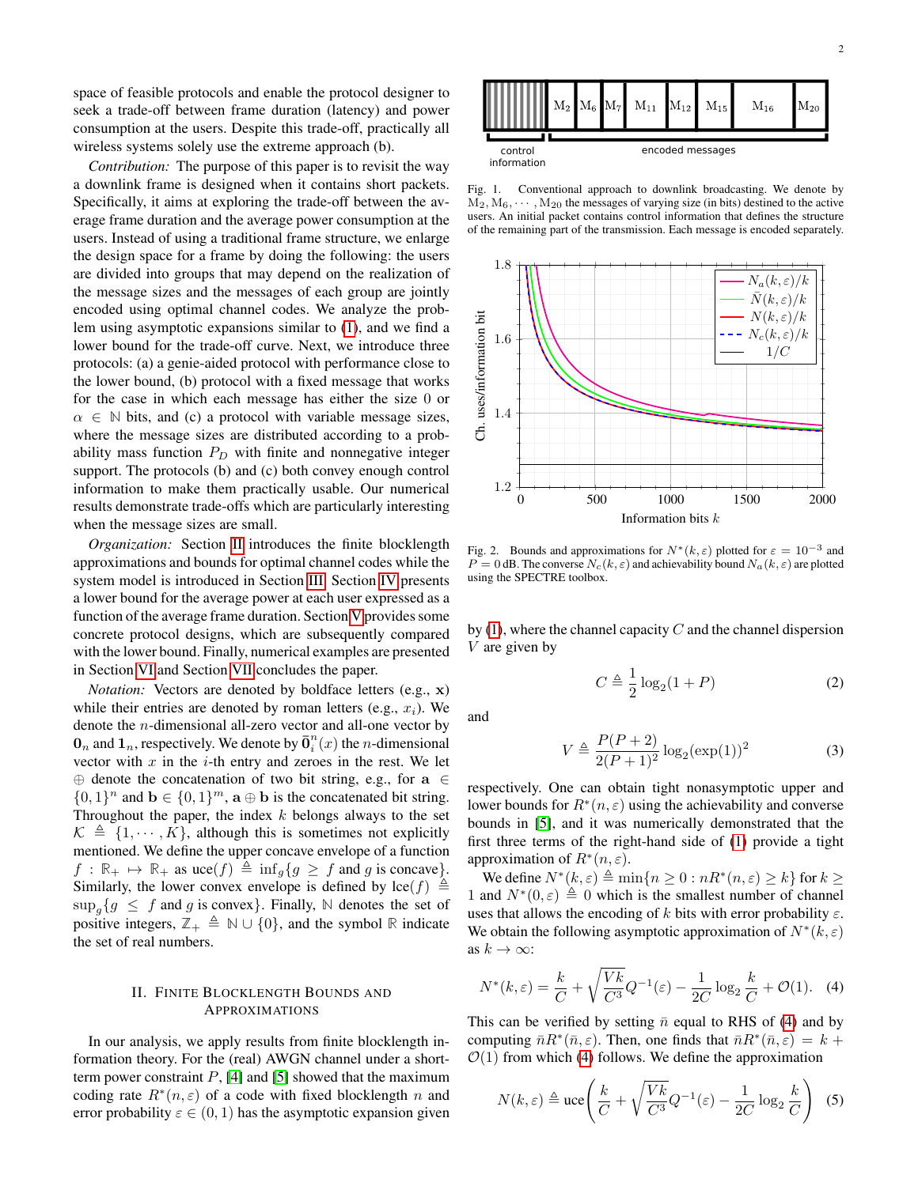space of feasible protocols and enable the protocol designer to seek a trade-off between frame duration (latency) and power consumption at the users. Despite this trade-off, practically all wireless systems solely use the extreme approach (b).

*Contribution:* The purpose of this paper is to revisit the way a downlink frame is designed when it contains short packets. Specifically, it aims at exploring the trade-off between the average frame duration and the average power consumption at the users. Instead of using a traditional frame structure, we enlarge the design space for a frame by doing the following: the users are divided into groups that may depend on the realization of the message sizes and the messages of each group are jointly encoded using optimal channel codes. We analyze the problem using asymptotic expansions similar to [\(1\)](#page-0-0), and we find a lower bound for the trade-off curve. Next, we introduce three protocols: (a) a genie-aided protocol with performance close to the lower bound, (b) protocol with a fixed message that works for the case in which each message has either the size 0 or  $\alpha \in \mathbb{N}$  bits, and (c) a protocol with variable message sizes, where the message sizes are distributed according to a probability mass function  $P_D$  with finite and nonnegative integer support. The protocols (b) and (c) both convey enough control information to make them practically usable. Our numerical results demonstrate trade-offs which are particularly interesting when the message sizes are small.

*Organization:* Section [II](#page-1-1) introduces the finite blocklength approximations and bounds for optimal channel codes while the system model is introduced in Section [III.](#page-2-0) Section [IV](#page-3-0) presents a lower bound for the average power at each user expressed as a function of the average frame duration. Section [V](#page-5-0) provides some concrete protocol designs, which are subsequently compared with the lower bound. Finally, numerical examples are presented in Section [VI](#page-6-0) and Section [VII](#page-7-0) concludes the paper.

*Notation:* Vectors are denoted by boldface letters (e.g., x) while their entries are denoted by roman letters (e.g.,  $x_i$ ). We denote the  $n$ -dimensional all-zero vector and all-one vector by  $\mathbf{0}_n$  and  $\mathbf{1}_n$ , respectively. We denote by  $\overline{\mathbf{0}}_i^n(x)$  the *n*-dimensional vector with  $x$  in the  $i$ -th entry and zeroes in the rest. We let ⊕ denote the concatenation of two bit string, e.g., for a ∈  $\{0,1\}^n$  and  $\mathbf{b} \in \{0,1\}^m$ ,  $\mathbf{a} \oplus \mathbf{b}$  is the concatenated bit string. Throughout the paper, the index  $k$  belongs always to the set  $\mathcal{K} \triangleq \{1, \dots, K\}$ , although this is sometimes not explicitly mentioned. We define the upper concave envelope of a function  $f : \mathbb{R}_+ \mapsto \mathbb{R}_+$  as  $\text{uce}(f) \triangleq \inf_{g} \{g \geq f \text{ and } g \text{ is concave}\}.$ Similarly, the lower convex envelope is defined by  $\text{lce}(f) \triangleq$  $\sup_{g} \{g \leq f \text{ and } g \text{ is convex}\}\$ . Finally, N denotes the set of positive integers,  $\mathbb{Z}_+ \triangleq \mathbb{N} \cup \{0\}$ , and the symbol **R** indicate the set of real numbers.

## II. FINITE BLOCKLENGTH BOUNDS AND APPROXIMATIONS

<span id="page-1-1"></span>In our analysis, we apply results from finite blocklength information theory. For the (real) AWGN channel under a shortterm power constraint  $P$ , [\[4\]](#page-9-3) and [\[5\]](#page-9-4) showed that the maximum coding rate  $R^*(n, \varepsilon)$  of a code with fixed blocklength n and error probability  $\varepsilon \in (0, 1)$  has the asymptotic expansion given



<span id="page-1-0"></span>Fig. 1. Conventional approach to downlink broadcasting. We denote by  $M_2, M_6, \cdots, M_{20}$  the messages of varying size (in bits) destined to the active users. An initial packet contains control information that defines the structure of the remaining part of the transmission. Each message is encoded separately.



<span id="page-1-2"></span>Fig. 2. Bounds and approximations for  $N^*(k, \varepsilon)$  plotted for  $\varepsilon = 10^{-3}$  and  $P = 0$  dB. The converse  $N_c(k, \varepsilon)$  and achievability bound  $N_a(k, \varepsilon)$  are plotted using the SPECTRE toolbox.

by  $(1)$ , where the channel capacity C and the channel dispersion V are given by

$$
C \triangleq \frac{1}{2} \log_2(1+P) \tag{2}
$$

and

$$
V \triangleq \frac{P(P+2)}{2(P+1)^2} \log_2(\exp(1))^2
$$
 (3)

respectively. One can obtain tight nonasymptotic upper and lower bounds for  $R^*(n, \varepsilon)$  using the achievability and converse bounds in [\[5\]](#page-9-4), and it was numerically demonstrated that the first three terms of the right-hand side of [\(1\)](#page-0-0) provide a tight approximation of  $R^*(n, \varepsilon)$ .

We define  $N^*(k, \varepsilon) \triangleq \min\{n \ge 0 : nR^*(n, \varepsilon) \ge k\}$  for  $k \ge 0$ 1 and  $N^*(0, \varepsilon) \triangleq 0$  which is the smallest number of channel uses that allows the encoding of k bits with error probability  $\varepsilon$ . We obtain the following asymptotic approximation of  $N^*(k, \varepsilon)$ as  $k \to \infty$ :

$$
N^*(k, \varepsilon) = \frac{k}{C} + \sqrt{\frac{Vk}{C^3}} Q^{-1}(\varepsilon) - \frac{1}{2C} \log_2 \frac{k}{C} + \mathcal{O}(1). \tag{4}
$$

This can be verified by setting  $\bar{n}$  equal to RHS of [\(4\)](#page-1-2) and by computing  $\bar{n}R^*(\bar{n}, \varepsilon)$ . Then, one finds that  $\bar{n}R^*(\bar{n}, \varepsilon) = k + \frac{1}{2}$  $\mathcal{O}(1)$  from which [\(4\)](#page-1-2) follows. We define the approximation

$$
N(k,\varepsilon) \triangleq \text{uce}\left(\frac{k}{C} + \sqrt{\frac{Vk}{C^3}}Q^{-1}(\varepsilon) - \frac{1}{2C}\log_2\frac{k}{C}\right) \tag{5}
$$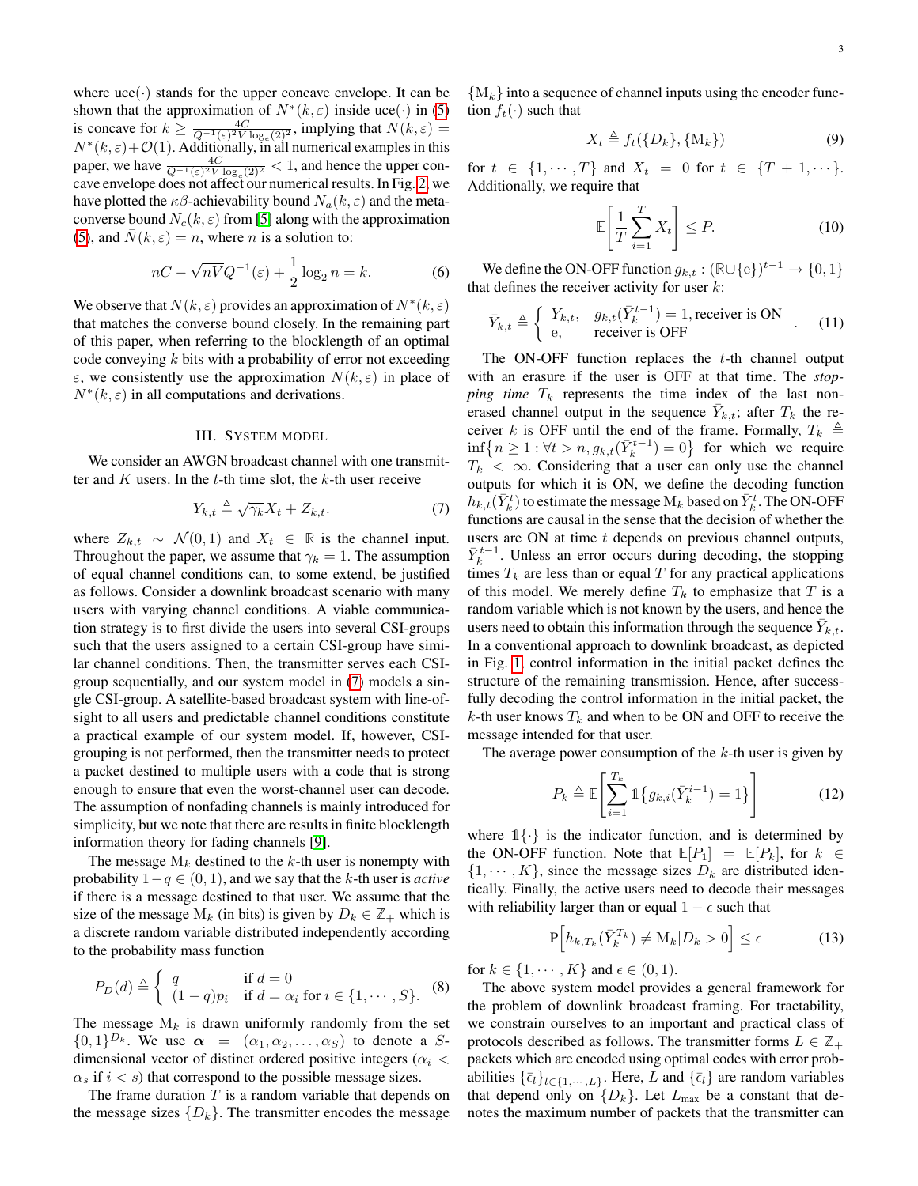where  $\text{uce}(\cdot)$  stands for the upper concave envelope. It can be shown that the approximation of  $N^*(k, \varepsilon)$  inside uce(·) in [\(5\)](#page-1-2) is concave for  $k \ge \frac{4C}{Q^{-1}(\varepsilon)^2 V \log_e(2)^2}$ , implying that  $N(k, \varepsilon) =$  $N^*(k, \varepsilon) + \mathcal{O}(1)$ . Additionally, in all numerical examples in this paper, we have  $\frac{4C}{Q^{-1}(\varepsilon)^2 V \log_e(2)^2} < 1$ , and hence the upper concave envelope does not affect our numerical results. In Fig. [2,](#page-1-2) we have plotted the  $\kappa\beta$ -achievability bound  $N_a(k,\varepsilon)$  and the metaconverse bound  $N_c(k, \varepsilon)$  from [\[5\]](#page-9-4) along with the approximation [\(5\)](#page-1-2), and  $N(k, \varepsilon) = n$ , where n is a solution to:

$$
nC - \sqrt{nV}Q^{-1}(\varepsilon) + \frac{1}{2}\log_2 n = k.
$$
 (6)

We observe that  $N(k, \varepsilon)$  provides an approximation of  $N^*(k, \varepsilon)$ that matches the converse bound closely. In the remaining part of this paper, when referring to the blocklength of an optimal code conveying  $k$  bits with a probability of error not exceeding  $\varepsilon$ , we consistently use the approximation  $N(k, \varepsilon)$  in place of  $N^*(k, \varepsilon)$  in all computations and derivations.

# III. SYSTEM MODEL

<span id="page-2-0"></span>We consider an AWGN broadcast channel with one transmitter and  $K$  users. In the  $t$ -th time slot, the  $k$ -th user receive

$$
Y_{k,t} \triangleq \sqrt{\gamma_k} X_t + Z_{k,t}.\tag{7}
$$

where  $Z_{k,t}$  ∼  $\mathcal{N}(0,1)$  and  $X_t$  ∈ ℝ is the channel input. Throughout the paper, we assume that  $\gamma_k = 1$ . The assumption of equal channel conditions can, to some extend, be justified as follows. Consider a downlink broadcast scenario with many users with varying channel conditions. A viable communication strategy is to first divide the users into several CSI-groups such that the users assigned to a certain CSI-group have similar channel conditions. Then, the transmitter serves each CSIgroup sequentially, and our system model in [\(7\)](#page-2-0) models a single CSI-group. A satellite-based broadcast system with line-ofsight to all users and predictable channel conditions constitute a practical example of our system model. If, however, CSIgrouping is not performed, then the transmitter needs to protect a packet destined to multiple users with a code that is strong enough to ensure that even the worst-channel user can decode. The assumption of nonfading channels is mainly introduced for simplicity, but we note that there are results in finite blocklength information theory for fading channels [\[9\]](#page-9-8).

The message  $M_k$  destined to the k-th user is nonempty with probability 1−q ∈ (0, 1), and we say that the k-th user is *active* if there is a message destined to that user. We assume that the size of the message  $M_k$  (in bits) is given by  $D_k \in \mathbb{Z}_+$  which is a discrete random variable distributed independently according to the probability mass function

$$
P_D(d) \triangleq \begin{cases} q & \text{if } d = 0\\ (1 - q)p_i & \text{if } d = \alpha_i \text{ for } i \in \{1, \cdots, S\}. \end{cases}
$$
 (8)

The message  $M_k$  is drawn uniformly randomly from the set  $\{0,1\}^{D_k}$ . We use  $\alpha = (\alpha_1, \alpha_2, \ldots, \alpha_S)$  to denote a Sdimensional vector of distinct ordered positive integers ( $\alpha_i$  <  $\alpha_s$  if  $i < s$ ) that correspond to the possible message sizes.

The frame duration  $T$  is a random variable that depends on the message sizes  ${D_k}$ . The transmitter encodes the message

 ${M_k}$  into a sequence of channel inputs using the encoder function  $f_t(\cdot)$  such that

$$
X_t \triangleq f_t(\{D_k\}, \{\mathbf{M}_k\})\tag{9}
$$

for  $t \in \{1, \dots, T\}$  and  $X_t = 0$  for  $t \in \{T + 1, \dots\}$ . Additionally, we require that

$$
\mathbb{E}\left[\frac{1}{T}\sum_{i=1}^{T}X_t\right] \le P. \tag{10}
$$

We define the ON-OFF function  $g_{k,t} : (\mathbb{R} \cup \{e\})^{t-1} \to \{0,1\}$ that defines the receiver activity for user  $k$ :

$$
\bar{Y}_{k,t} \triangleq \begin{cases} Y_{k,t}, & g_{k,t}(\bar{Y}_k^{t-1}) = 1, \text{receiver is ON} \\ e, & \text{receiver is OFF} \end{cases} \tag{11}
$$

The ON-OFF function replaces the  $t$ -th channel output with an erasure if the user is OFF at that time. The *stopping time*  $T_k$  represents the time index of the last nonerased channel output in the sequence  $\bar{Y}_{k,t}$ ; after  $T_k$  the receiver k is OFF until the end of the frame. Formally,  $T_k \triangleq$  $\inf\left\{n\geq 1 : \forall t > n, g_{k,t}(\bar{Y}_k^{t-1}) = 0\right\}$  for which we require  $T_k < \infty$ . Considering that a user can only use the channel outputs for which it is ON, we define the decoding function  $h_{k,t}(\bar{Y}_k^t)$  to estimate the message  $\mathrm{M}_k$  based on  $\bar{Y}_k^t$ . The ON-OFF functions are causal in the sense that the decision of whether the users are ON at time  $t$  depends on previous channel outputs,  $\bar{Y}_{k}^{t-1}$ . Unless an error occurs during decoding, the stopping times  $T_k$  are less than or equal T for any practical applications of this model. We merely define  $T_k$  to emphasize that T is a random variable which is not known by the users, and hence the users need to obtain this information through the sequence  $\bar{Y}_{k,t}$ . In a conventional approach to downlink broadcast, as depicted in Fig. [1,](#page-1-0) control information in the initial packet defines the structure of the remaining transmission. Hence, after successfully decoding the control information in the initial packet, the  $k$ -th user knows  $T_k$  and when to be ON and OFF to receive the message intended for that user.

The average power consumption of the  $k$ -th user is given by

$$
P_k \triangleq \mathbb{E}\left[\sum_{i=1}^{T_k} \mathbb{1}\left\{g_{k,i}(\bar{Y}_k^{i-1}) = 1\right\}\right]
$$
(12)

where  $1\{\cdot\}$  is the indicator function, and is determined by the ON-OFF function. Note that  $\mathbb{E}[P_1] = \mathbb{E}[P_k]$ , for  $k \in$  $\{1, \dots, K\}$ , since the message sizes  $D_k$  are distributed identically. Finally, the active users need to decode their messages with reliability larger than or equal  $1 - \epsilon$  such that

<span id="page-2-1"></span>
$$
\mathbf{P}\Big[h_{k,T_k}(\bar{Y}_k^{T_k}) \neq \mathbf{M}_k | D_k > 0\Big] \leq \epsilon \tag{13}
$$

for  $k \in \{1, \dots, K\}$  and  $\epsilon \in (0, 1)$ .

The above system model provides a general framework for the problem of downlink broadcast framing. For tractability, we constrain ourselves to an important and practical class of protocols described as follows. The transmitter forms  $L \in \mathbb{Z}_+$ packets which are encoded using optimal codes with error probabilities  $\{\bar{\epsilon}_l\}_{l\in\{1,\cdots,L\}}$ . Here, L and  $\{\bar{\epsilon}_l\}$  are random variables that depend only on  $\{D_k\}$ . Let  $L_{\text{max}}$  be a constant that denotes the maximum number of packets that the transmitter can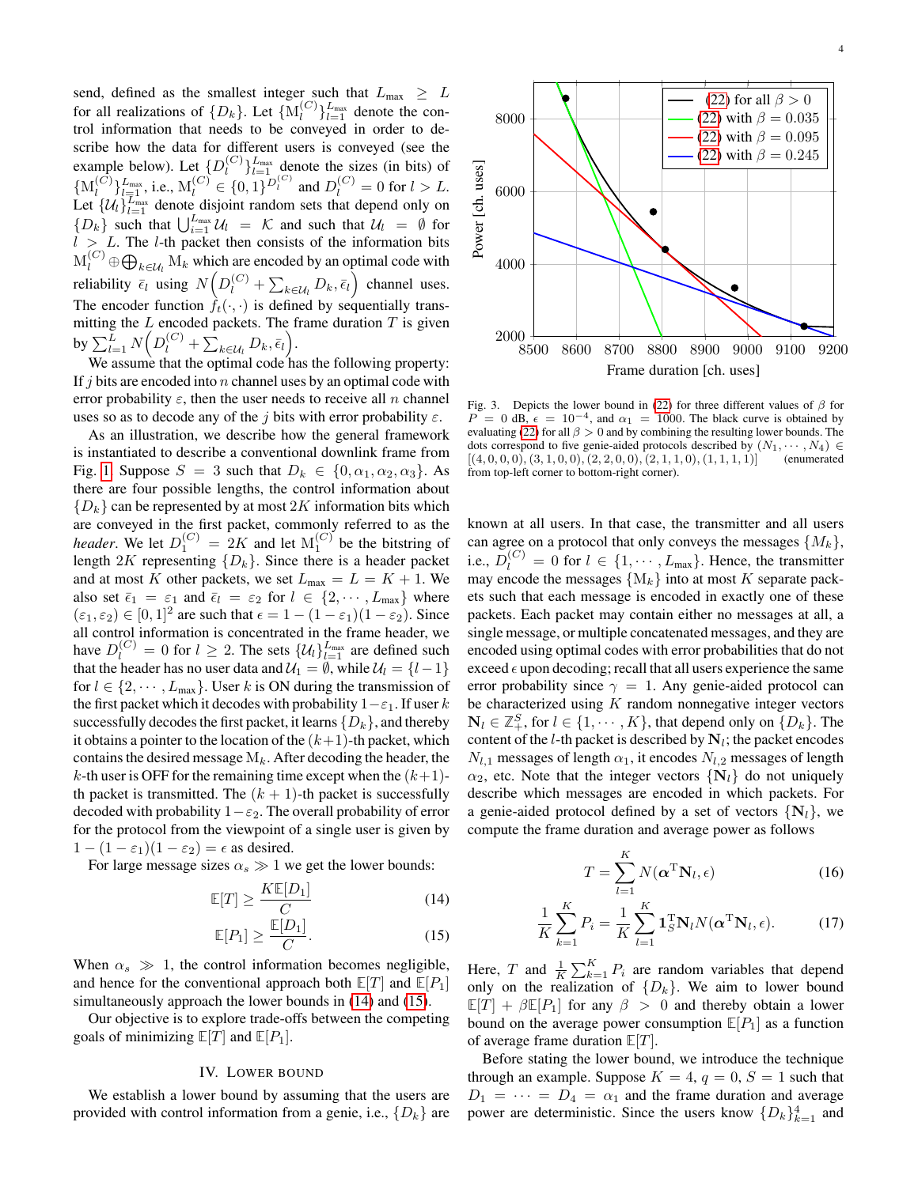send, defined as the smallest integer such that  $L_{\text{max}} \geq L$ for all realizations of  $\{D_k\}$ . Let  $\{\mathbf{M}_l^{(C)}\}$  $\binom{C}{l}$ <sub> $l=1$ </sub> denote the control information that needs to be conveyed in order to describe how the data for different users is conveyed (see the example below). Let  $\{D_l^{(C)}\}$  $\binom{C}{l}$ <sub> $l=1$ </sub> denote the sizes (in bits) of  $\{\mathrm{M}_l^{(C)}$  $\bigcup_{l=1}^{(C)}\bigcup_{l=1}^{L_{\text{max}}}$ , i.e.,  $M_l^{(C)} \in \{0,1\}^{D_l^{(C)}}$  and  $D_l^{(C)} = 0$  for  $l > L$ . Let  $\{\mathcal{U}_l\}_{l=1}^{T_{\text{max}}}$  denote disjoint random sets that depend only on  $\{D_k\}$  such that  $\bigcup_{i=1}^{L_{\text{max}}} U_i = \mathcal{K}$  and such that  $\mathcal{U}_l = \emptyset$  for  $l > L$ . The *l*-th packet then consists of the information bits  $M_l^{(C)} \oplus \bigoplus_{k \in \mathcal{U}_l} M_k$  which are encoded by an optimal code with reliability  $\bar{\epsilon}_l$  using  $N(D_l^{(C)} + \sum_{k \in \mathcal{U}_l} D_k, \bar{\epsilon}_l)$  channel uses. The encoder function  $f_t(\cdot, \cdot)$  is defined by sequentially transmitting the  $L$  encoded packets. The frame duration  $T$  is given by  $\sum_{l=1}^{\bar{L}} N(D_l^{(C)} + \sum_{k \in \mathcal{U}_l} D_k, \bar{\epsilon}_l).$ 

We assume that the optimal code has the following property: If  $j$  bits are encoded into  $n$  channel uses by an optimal code with error probability  $\varepsilon$ , then the user needs to receive all n channel uses so as to decode any of the j bits with error probability  $\varepsilon$ .

As an illustration, we describe how the general framework is instantiated to describe a conventional downlink frame from Fig. [1.](#page-1-0) Suppose  $S = 3$  such that  $D_k \in \{0, \alpha_1, \alpha_2, \alpha_3\}$ . As there are four possible lengths, the control information about  ${D_k}$  can be represented by at most 2K information bits which are conveyed in the first packet, commonly referred to as the *header*. We let  $D_1^{(C)} = 2K$  and let  $M_1^{(C)}$  be the bitstring of length 2K representing  $\{D_k\}$ . Since there is a header packet and at most K other packets, we set  $L_{\text{max}} = L = K + 1$ . We also set  $\bar{\epsilon}_1 = \epsilon_1$  and  $\bar{\epsilon}_l = \epsilon_2$  for  $l \in \{2, \dots, L_{\text{max}}\}$  where  $(\varepsilon_1, \varepsilon_2) \in [0, 1]^2$  are such that  $\epsilon = 1 - (1 - \varepsilon_1)(1 - \varepsilon_2)$ . Since all control information is concentrated in the frame header, we have  $D_l^{(C)} = 0$  for  $l \geq 2$ . The sets  $\{ \mathcal{U}_l \}_{l=1}^{L_{\text{max}}}$  are defined such that the header has no user data and  $\mathcal{U}_1 = \emptyset$ , while  $\mathcal{U}_l = \{l-1\}$ for  $l \in \{2, \dots, L_{\text{max}}\}\.$  User k is ON during the transmission of the first packet which it decodes with probability  $1-\varepsilon_1$ . If user k successfully decodes the first packet, it learns  $\{D_k\}$ , and thereby it obtains a pointer to the location of the  $(k+1)$ -th packet, which contains the desired message  $M_k$ . After decoding the header, the k-th user is OFF for the remaining time except when the  $(k+1)$ th packet is transmitted. The  $(k + 1)$ -th packet is successfully decoded with probability  $1-\varepsilon_2$ . The overall probability of error for the protocol from the viewpoint of a single user is given by  $1 - (1 - \varepsilon_1)(1 - \varepsilon_2) = \epsilon$  as desired.

For large message sizes  $\alpha_s \gg 1$  we get the lower bounds:

$$
\mathbb{E}[T] \ge \frac{K \mathbb{E}[D_1]}{C} \tag{14}
$$

$$
\mathbb{E}[P_1] \ge \frac{\mathbb{E}[D_1]}{C}.\tag{15}
$$

When  $\alpha_s \gg 1$ , the control information becomes negligible, and hence for the conventional approach both  $\mathbb{E}[T]$  and  $\mathbb{E}[P_1]$ simultaneously approach the lower bounds in [\(14\)](#page-2-1) and [\(15\)](#page-2-1).

Our objective is to explore trade-offs between the competing goals of minimizing  $\mathbb{E}[T]$  and  $\mathbb{E}[P_1]$ .

#### IV. LOWER BOUND

<span id="page-3-0"></span>We establish a lower bound by assuming that the users are provided with control information from a genie, i.e.,  $\{D_k\}$  are



<span id="page-3-1"></span>Fig. 3. Depicts the lower bound in [\(22\)](#page-3-1) for three different values of  $\beta$  for  $P = 0$  dB,  $\epsilon = 10^{-4}$ , and  $\alpha_1 = 1000$ . The black curve is obtained by evaluating [\(22\)](#page-3-1) for all  $\beta > 0$  and by combining the resulting lower bounds. The dots correspond to five genie-aided protocols described by  $(N_1, \dots, N_4) \in [(4, 0, 0, 0), (3, 1, 0, 0), (2, 2, 0, 0), (2, 1, 1, 0), (1, 1, 1, 1)]$  (enumerated  $[(4, 0, 0, 0), (3, 1, 0, 0), (2, 2, 0, 0), (2, 1, 1, 0), (1, 1, 1, 1)]$ from top-left corner to bottom-right corner).

known at all users. In that case, the transmitter and all users can agree on a protocol that only conveys the messages  $\{M_k\}$ , i.e.,  $D_l^{(C)} = 0$  for  $l \in \{1, \dots, L_{\text{max}}\}$ . Hence, the transmitter may encode the messages  ${M_k}$  into at most K separate packets such that each message is encoded in exactly one of these packets. Each packet may contain either no messages at all, a single message, or multiple concatenated messages, and they are encoded using optimal codes with error probabilities that do not exceed  $\epsilon$  upon decoding; recall that all users experience the same error probability since  $\gamma = 1$ . Any genie-aided protocol can be characterized using  $K$  random nonnegative integer vectors  $N_l \in \mathbb{Z}_+^S$ , for  $l \in \{1, \cdots, K\}$ , that depend only on  $\{D_k\}$ . The content of the *l*-th packet is described by  $N_l$ ; the packet encodes  $N_{l,1}$  messages of length  $\alpha_1$ , it encodes  $N_{l,2}$  messages of length  $\alpha_2$ , etc. Note that the integer vectors  $\{N_l\}$  do not uniquely describe which messages are encoded in which packets. For a genie-aided protocol defined by a set of vectors  $\{N_l\}$ , we compute the frame duration and average power as follows

$$
T = \sum_{l=1}^{K} N(\boldsymbol{\alpha}^{\mathrm{T}} \mathbf{N}_l, \epsilon)
$$
 (16)

$$
\frac{1}{K} \sum_{k=1}^{K} P_i = \frac{1}{K} \sum_{l=1}^{K} \mathbf{1}_{S}^{T} \mathbf{N}_l N(\boldsymbol{\alpha}^{T} \mathbf{N}_l, \epsilon).
$$
 (17)

Here, T and  $\frac{1}{K} \sum_{k=1}^{K} P_i$  are random variables that depend only on the realization of  $\{D_k\}$ . We aim to lower bound  $\mathbb{E}[T] + \beta \mathbb{E}[P_1]$  for any  $\beta > 0$  and thereby obtain a lower bound on the average power consumption  $\mathbb{E}[P_1]$  as a function of average frame duration **E**[T].

Before stating the lower bound, we introduce the technique through an example. Suppose  $K = 4$ ,  $q = 0$ ,  $S = 1$  such that  $D_1 = \cdots = D_4 = \alpha_1$  and the frame duration and average power are deterministic. Since the users know  ${D_k}_{k=1}^4$  and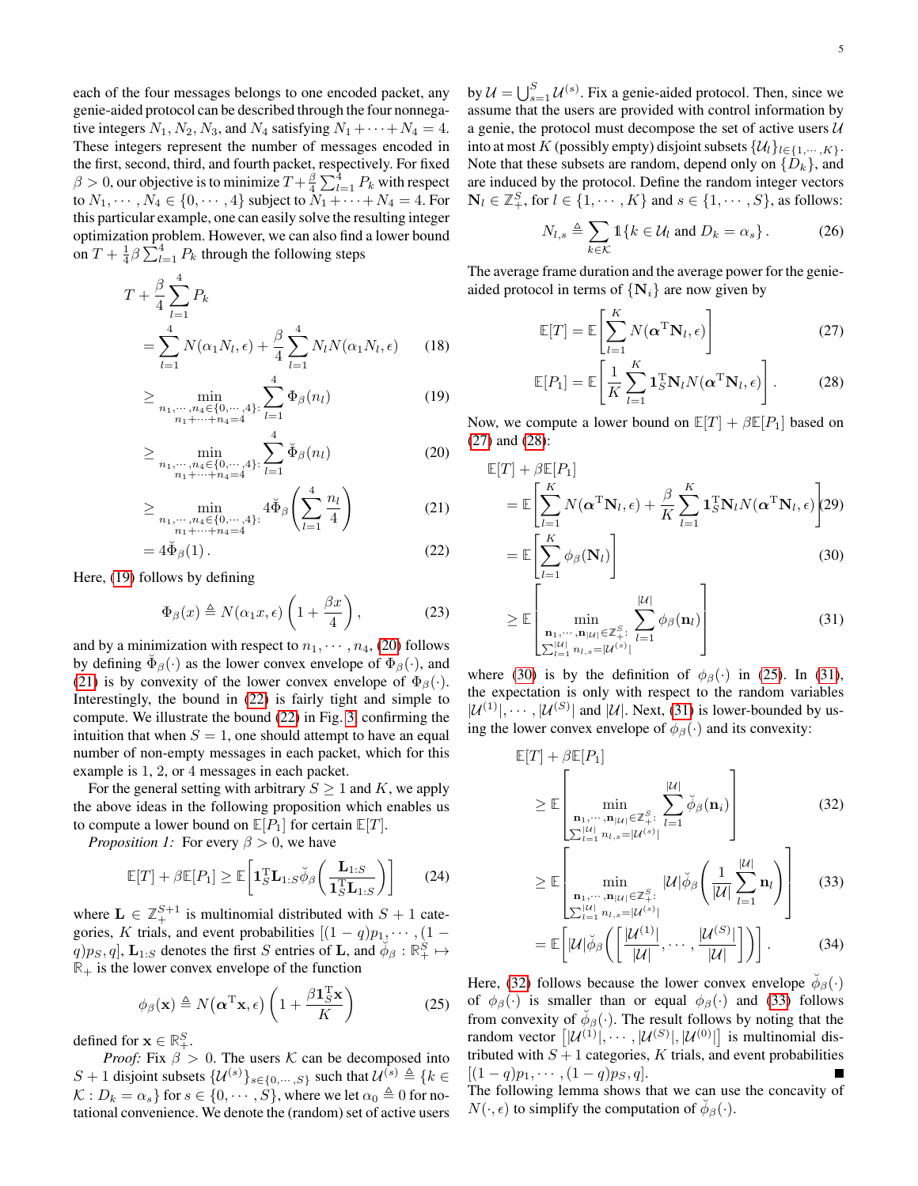each of the four messages belongs to one encoded packet, any genie-aided protocol can be described through the four nonnegative integers  $N_1, N_2, N_3$ , and  $N_4$  satisfying  $N_1 + \cdots + N_4 = 4$ . These integers represent the number of messages encoded in the first, second, third, and fourth packet, respectively. For fixed  $\beta > 0$ , our objective is to minimize  $T + \frac{\beta}{4} \sum_{l=1}^{4} P_k$  with respect to  $N_1, \dots, N_4 \in \{0, \dots, 4\}$  subject to  $N_1 + \dots + N_4 = 4$ . For this particular example, one can easily solve the resulting integer optimization problem. However, we can also find a lower bound on  $T + \frac{1}{4} \beta \sum_{l=1}^{4} P_k$  through the following steps

$$
T + \frac{\beta}{4} \sum_{l=1}^{4} P_k
$$
  
= 
$$
\sum_{l=1}^{4} N(\alpha_1 N_l, \epsilon) + \frac{\beta}{4} \sum_{l=1}^{4} N_l N(\alpha_1 N_l, \epsilon)
$$
 (18)

$$
\geq \min_{\substack{n_1,\cdots,n_4\in\{0,\cdots,4\}:\\n_1+\cdots+n_4=4}}\sum_{l=1}^4 \Phi_{\beta}(n_l)
$$
\n(19)

$$
\geq \min_{\substack{n_1,\dots,n_4\in\{0,\dots,4\}:\\n_1+\dots+n_4=4}} \sum_{l=1}^4 \breve{\Phi}_{\beta}(n_l)
$$
\n(20)

$$
\geq \min_{\substack{n_1, \dots, n_4 \in \{0, \dots, 4\}: \\ n_1 + \dots + n_4 = 4}} 4\breve{\Phi}_{\beta} \left( \sum_{l=1}^4 \frac{n_l}{4} \right)
$$
(21)

$$
=4\breve{\Phi}_{\beta}(1). \tag{22}
$$

Here, [\(19\)](#page-3-1) follows by defining

$$
\Phi_{\beta}(x) \triangleq N(\alpha_1 x, \epsilon) \left( 1 + \frac{\beta x}{4} \right), \tag{23}
$$

and by a minimization with respect to  $n_1, \dots, n_4$ , [\(20\)](#page-3-1) follows by defining  $\check{\Phi}_{\beta}(\cdot)$  as the lower convex envelope of  $\Phi_{\beta}(\cdot)$ , and [\(21\)](#page-3-1) is by convexity of the lower convex envelope of  $\Phi_{\beta}(\cdot)$ . Interestingly, the bound in [\(22\)](#page-3-1) is fairly tight and simple to compute. We illustrate the bound [\(22\)](#page-3-1) in Fig. [3,](#page-3-1) confirming the intuition that when  $S = 1$ , one should attempt to have an equal number of non-empty messages in each packet, which for this example is 1, 2, or 4 messages in each packet.

For the general setting with arbitrary  $S \geq 1$  and K, we apply the above ideas in the following proposition which enables us to compute a lower bound on  $\mathbb{E}[P_1]$  for certain  $\mathbb{E}[T]$ .

*Proposition 1:* For every  $\beta > 0$ , we have

$$
\mathbb{E}[T] + \beta \mathbb{E}[P_1] \ge \mathbb{E}\left[\mathbf{1}_S^{\mathrm{T}} \mathbf{L}_{1:S} \breve{\phi}_{\beta}\left(\frac{\mathbf{L}_{1:S}}{\mathbf{1}_S^{\mathrm{T}} \mathbf{L}_{1:S}}\right)\right]
$$
(24)

where  $L \in \mathbb{Z}_+^{S+1}$  is multinomial distributed with  $S+1$  categories, K trials, and event probabilities  $[(1 - q)p_1, \dots, (1 - q)q_p]$  $q$ ) $p_S, q$ ,  $\mathbf{L}_{1:S}$  denotes the first S entries of **L**, and  $\phi_\beta : \mathbb{R}^S_+ \mapsto$  $\mathbb{R}_+$  is the lower convex envelope of the function

$$
\phi_{\beta}(\mathbf{x}) \triangleq N(\boldsymbol{\alpha}^{\mathrm{T}}\mathbf{x}, \epsilon) \left(1 + \frac{\beta \mathbf{1}_S^{\mathrm{T}}\mathbf{x}}{K}\right)
$$
 (25)

defined for  $\mathbf{x} \in \mathbb{R}_+^S$ .

*Proof:* Fix  $\beta > 0$ . The users K can be decomposed into S + 1 disjoint subsets  $\{\mathcal{U}^{(s)}\}_{s\in\{0,\cdots,S\}}$  such that  $\mathcal{U}^{(s)} \triangleq \{k\in\mathbb{Z}\}$  $\mathcal{K}: D_k = \alpha_s$  for  $s \in \{0, \cdots, S\}$ , where we let  $\alpha_0 \triangleq 0$  for notational convenience. We denote the (random) set of active users

by  $\mathcal{U} = \bigcup_{s=1}^{S} \mathcal{U}^{(s)}$ . Fix a genie-aided protocol. Then, since we assume that the users are provided with control information by a genie, the protocol must decompose the set of active users  $U$ into at most K (possibly empty) disjoint subsets  $\{\mathcal{U}_l\}_{l\in\{1,\cdots,K\}}$ . Note that these subsets are random, depend only on  $\{D_k\}$ , and are induced by the protocol. Define the random integer vectors  $\mathbf{N}_l \in \mathbb{Z}_+^S$ , for  $l \in \{1, \cdots, K\}$  and  $s \in \{1, \cdots, S\}$ , as follows:

$$
N_{l,s} \triangleq \sum_{k \in \mathcal{K}} \mathbb{1}\{k \in \mathcal{U}_l \text{ and } D_k = \alpha_s\}.
$$
 (26)

The average frame duration and the average power for the genieaided protocol in terms of  $\{N_i\}$  are now given by

$$
\mathbb{E}[T] = \mathbb{E}\left[\sum_{l=1}^{K} N(\boldsymbol{\alpha}^{T} \mathbf{N}_{l}, \epsilon)\right]
$$
 (27)

$$
\mathbb{E}[P_1] = \mathbb{E}\left[\frac{1}{K}\sum_{l=1}^{K} \mathbf{1}_S^{\mathrm{T}} \mathbf{N}_l N(\boldsymbol{\alpha}^{\mathrm{T}} \mathbf{N}_l, \epsilon)\right].
$$
 (28)

Now, we compute a lower bound on  $\mathbb{E}[T] + \beta \mathbb{E}[P_1]$  based on [\(27\)](#page-4-0) and [\(28\)](#page-4-0):

$$
\mathbb{E}[T] + \beta \mathbb{E}[P_1] \n= \mathbb{E}\left[\sum_{l=1}^K N(\boldsymbol{\alpha}^T \mathbf{N}_l, \epsilon) + \frac{\beta}{K} \sum_{l=1}^K \mathbf{1}_S^T \mathbf{N}_l N(\boldsymbol{\alpha}^T \mathbf{N}_l, \epsilon)\right] (29) \n= \mathbb{E}\left[\sum_{l=1}^K \phi_{\beta}(\mathbf{N}_l)\right]
$$
\n(30)

$$
\geq \mathbb{E}\left[\min_{\substack{\mathbf{n}_1,\cdots,\mathbf{n}_{|\mathcal{U}|}\in\mathbb{Z}_{+}^{\mathcal{S}}:\ \sum_{l=1}^{|\mathcal{U}|}\phi_{\beta}(\mathbf{n}_l)\\ \sum_{l=1}^{|\mathcal{U}|n} n_{l,s} = |\mathcal{U}^{(s)}|} \right]
$$
(31)

where [\(30\)](#page-4-0) is by the definition of  $\phi_{\beta}(\cdot)$  in [\(25\)](#page-4-0). In [\(31\)](#page-4-0), the expectation is only with respect to the random variables  $|\mathcal{U}^{(1)}|, \cdots, |\mathcal{U}^{(S)}|$  and  $|\mathcal{U}|$ . Next, [\(31\)](#page-4-0) is lower-bounded by using the lower convex envelope of  $\phi_{\beta}(\cdot)$  and its convexity:

$$
\mathbb{E}[T] + \beta \mathbb{E}[P_1] \n\geq \mathbb{E}\left[\min_{\substack{\mathbf{n}_1,\cdots,\mathbf{n}_{|\mathcal{U}|}\in\mathbb{Z}_{+}^S:\ \sum_{i=1}^{|\mathcal{U}|}\breve{\phi}_{\beta}(\mathbf{n}_i) \\ \sum_{i=1}^{|\mathcal{U}|} n_{i,s} = |\mathcal{U}^{(s)}|} \right]
$$
\n(32)

<span id="page-4-0"></span>
$$
\geq \mathbb{E}\left[\min_{\substack{\mathbf{n}_1,\cdots,\mathbf{n}_{|\mathcal{U}|}\in\mathbb{Z}_{+}^S:\\ \sum_{l=1}^{|\mathcal{U}|} n_{l,s} = |\mathcal{U}^{(s)}|}} |\mathcal{U}| \check{\phi}_{\beta}\left(\frac{1}{|\mathcal{U}|}\sum_{l=1}^{|\mathcal{U}|} \mathbf{n}_l\right)\right]
$$
(33)

<span id="page-4-1"></span>
$$
= \mathbb{E}\left[|\mathcal{U}|\breve{\phi}_{\beta}\left(\left[\frac{|\mathcal{U}^{(1)}|}{|\mathcal{U}|},\cdots,\frac{|\mathcal{U}^{(S)}|}{|\mathcal{U}|}\right]\right)\right].
$$
 (34)

Here, [\(32\)](#page-4-0) follows because the lower convex envelope  $\check{\phi}_{\beta}(\cdot)$ of  $\phi_{\beta}(\cdot)$  is smaller than or equal  $\phi_{\beta}(\cdot)$  and [\(33\)](#page-4-0) follows from convexity of  $\check{\phi}_{\beta}(\cdot)$ . The result follows by noting that the random vector  $[|\mathcal{U}^{(1)}|, \cdots, |\mathcal{U}^{(S)}|, |\mathcal{U}^{(0)}|]$  is multinomial distributed with  $S + 1$  categories, K trials, and event probabilities  $[(1-q)p_1, \cdots, (1-q)p_s, q].$ The following lemma shows that we can use the concavity of  $N(\cdot, \epsilon)$  to simplify the computation of  $\check{\phi}_{\beta}(\cdot)$ .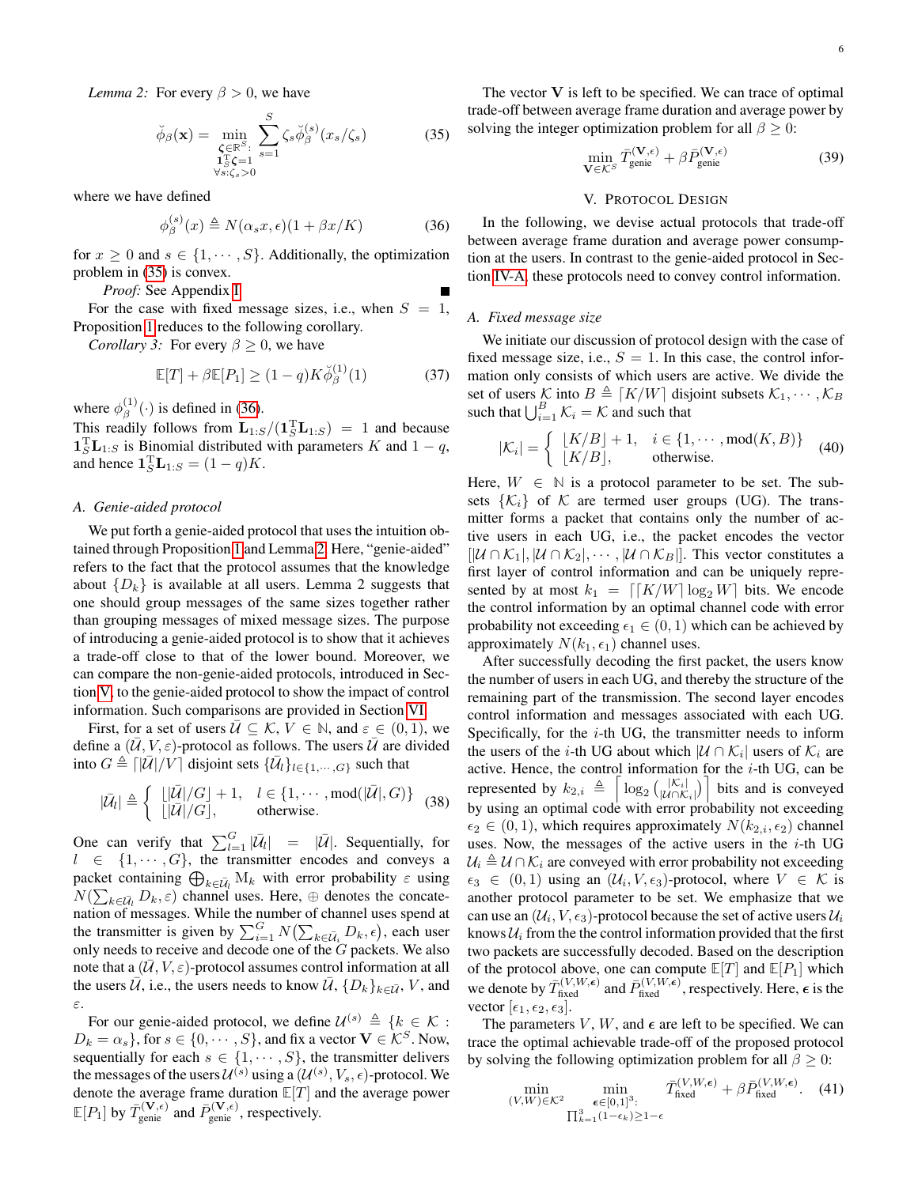*Lemma 2:* For every  $\beta > 0$ , we have

$$
\breve{\phi}_{\beta}(\mathbf{x}) = \min_{\substack{\boldsymbol{\zeta} \in \mathbb{R}^S:\\ \mathbf{1}_S^T \boldsymbol{\zeta} = 1 \\ \forall s: \zeta_s > 0}} \sum_{s=1}^S \zeta_s \breve{\phi}_{\beta}^{(s)}(x_s/\zeta_s)
$$
(35)

where we have defined

$$
\phi_{\beta}^{(s)}(x) \triangleq N(\alpha_s x, \epsilon)(1 + \beta x/K) \tag{36}
$$

for  $x \geq 0$  and  $s \in \{1, \dots, S\}$ . Additionally, the optimization problem in [\(35\)](#page-4-1) is convex.

*Proof:* See Appendix [I](#page-8-0)

 $(3)$ 

For the case with fixed message sizes, i.e., when  $S = 1$ , Proposition [1](#page-4-0) reduces to the following corollary.

*Corollary 3:* For every  $\beta \geq 0$ , we have

$$
\mathbb{E}[T] + \beta \mathbb{E}[P_1] \ge (1 - q) K \check{\phi}_{\beta}^{(1)}(1) \tag{37}
$$

where  $\phi_{\beta}^{(1)}$  $\beta^{(1)}(\cdot)$  is defined in [\(36\)](#page-4-1).

This readily follows from  $\mathbf{L}_{1:S}/(\mathbf{1}_S^T \mathbf{L}_{1:S}) = 1$  and because  $\mathbf{1}_S^{\mathrm{T}} \mathbf{L}_{1:S}$  is Binomial distributed with parameters K and  $1 - q$ , and hence  $\mathbf{1}_S^{\mathrm{T}} \mathbf{L}_{1:S} = (1-q)K$ .

## <span id="page-5-1"></span>*A. Genie-aided protocol*

We put forth a genie-aided protocol that uses the intuition obtained through Proposition [1](#page-4-0) and Lemma [2.](#page-4-1) Here, "genie-aided" refers to the fact that the protocol assumes that the knowledge about  $\{D_k\}$  is available at all users. Lemma 2 suggests that one should group messages of the same sizes together rather than grouping messages of mixed message sizes. The purpose of introducing a genie-aided protocol is to show that it achieves a trade-off close to that of the lower bound. Moreover, we can compare the non-genie-aided protocols, introduced in Section [V,](#page-5-0) to the genie-aided protocol to show the impact of control information. Such comparisons are provided in Section [VI.](#page-6-0)

First, for a set of users  $\mathcal{U} \subseteq \mathcal{K}, V \in \mathbb{N}$ , and  $\varepsilon \in (0,1)$ , we define a  $(U, V, \varepsilon)$ -protocol as follows. The users  $\overline{U}$  are divided into  $G \triangleq \left[|\bar{U}|/V\right]$  disjoint sets  $\{\bar{U}_l\}_{l \in \{1, \cdots, G\}}$  such that

$$
|\bar{\mathcal{U}}_l|\triangleq \left\{\begin{array}{ll} \lfloor |\bar{\mathcal{U}}|/G\rfloor+1, & l\in\{1,\cdots,\text{mod}(|\bar{\mathcal{U}}|,G)\} \\ \lfloor |\bar{\mathcal{U}}|/G\rfloor, & \text{otherwise.}\end{array}\right. (38)
$$

One can verify that  $\sum_{l=1}^{G} |\bar{U}_l| = |\bar{U}|$ . Sequentially, for  $l \in \{1, \dots, G\}$ , the transmitter encodes and conveys a packet containing  $\bigoplus_{k \in \bar{\mathcal{U}}_l} M_k$  with error probability  $\varepsilon$  using  $N(\sum_{k\in \bar{U}_l} D_k, \varepsilon)$  channel uses. Here,  $\oplus$  denotes the concatenation of messages. While the number of channel uses spend at the transmitter is given by  $\sum_{i=1}^{G} N(\sum_{k \in \bar{\mathcal{U}}_i} D_k, \epsilon)$ , each user only needs to receive and decode one of the  $G$  packets. We also note that a  $(U, V, \varepsilon)$ -protocol assumes control information at all the users  $\overline{U}$ , i.e., the users needs to know  $\overline{U}$ ,  $\{D_k\}_{k\in\overline{U}}$ ,  $V$ , and ε.

For our genie-aided protocol, we define  $\mathcal{U}^{(s)} \triangleq \{k \in \mathcal{K} :$  $D_k = \alpha_s$ , for  $s \in \{0, \dots, S\}$ , and fix a vector  $\mathbf{V} \in \mathcal{K}^S$ . Now, sequentially for each  $s \in \{1, \dots, S\}$ , the transmitter delivers the messages of the users  $\mathcal{U}^{(s)}$  using a  $(\mathcal{U}^{(s)}, V_s, \epsilon)$ -protocol. We denote the average frame duration **E**[T] and the average power  $\mathbb{E}[P_1]$  by  $\bar{T}_{\text{genic}}^{(\mathbf{V}, \epsilon)}$  and  $\bar{P}_{\text{genic}}^{(\mathbf{V}, \epsilon)}$ , respectively.

The vector  $V$  is left to be specified. We can trace of optimal trade-off between average frame duration and average power by solving the integer optimization problem for all  $\beta \geq 0$ :

$$
\min_{\mathbf{V}\in\mathcal{K}^S} \bar{T}_{\text{genic}}^{(\mathbf{V},\epsilon)} + \beta \bar{P}_{\text{genic}}^{(\mathbf{V},\epsilon)} \tag{39}
$$

### V. PROTOCOL DESIGN

<span id="page-5-0"></span>In the following, we devise actual protocols that trade-off between average frame duration and average power consumption at the users. In contrast to the genie-aided protocol in Section [IV-A,](#page-5-1) these protocols need to convey control information.

#### <span id="page-5-2"></span>*A. Fixed message size*

We initiate our discussion of protocol design with the case of fixed message size, i.e.,  $S = 1$ . In this case, the control information only consists of which users are active. We divide the set of users K into  $B \triangleq [K/W]$  disjoint subsets  $\mathcal{K}_1, \cdots, \mathcal{K}_B$ such that  $\bigcup_{i=1}^{B} \mathcal{K}_i = \mathcal{K}$  and such that

$$
|\mathcal{K}_i| = \left\{ \begin{array}{ll} \lfloor K/B \rfloor + 1, & i \in \{1, \cdots, \text{mod}(K, B)\} \\ \lfloor K/B \rfloor, & \text{otherwise.} \end{array} \right. (40)
$$

Here,  $W \in \mathbb{N}$  is a protocol parameter to be set. The subsets  $\{K_i\}$  of K are termed user groups (UG). The transmitter forms a packet that contains only the number of active users in each UG, i.e., the packet encodes the vector  $[|\mathcal{U} \cap \mathcal{K}_1|, |\mathcal{U} \cap \mathcal{K}_2|, \cdots, |\mathcal{U} \cap \mathcal{K}_B|].$  This vector constitutes a first layer of control information and can be uniquely represented by at most  $k_1 = \lfloor K/W \rfloor \log_2 W \rfloor$  bits. We encode the control information by an optimal channel code with error probability not exceeding  $\epsilon_1 \in (0, 1)$  which can be achieved by approximately  $N(k_1, \epsilon_1)$  channel uses.

After successfully decoding the first packet, the users know the number of users in each UG, and thereby the structure of the remaining part of the transmission. The second layer encodes control information and messages associated with each UG. Specifically, for the  $i$ -th UG, the transmitter needs to inform the users of the *i*-th UG about which  $|\mathcal{U} \cap \mathcal{K}_i|$  users of  $\mathcal{K}_i$  are active. Hence, the control information for the  $i$ -th UG, can be represented by  $k_{2,i} \triangleq \left[ \log_2 \left( \frac{|\mathcal{K}_i|}{|\mathcal{U} \cap \mathcal{K}_i|} \right) \right]$  $\left|\frac{|\mathcal{K}_i|}{|\mathcal{U} \cap \mathcal{K}_i|}\right|$  bits and is conveyed by using an optimal code with error probability not exceeding  $\epsilon_2 \in (0, 1)$ , which requires approximately  $N(k_{2,i}, \epsilon_2)$  channel uses. Now, the messages of the active users in the  $i$ -th UG  $U_i \triangleq U \cap \mathcal{K}_i$  are conveyed with error probability not exceeding  $\epsilon_3 \in (0,1)$  using an  $(\mathcal{U}_i, V, \epsilon_3)$ -protocol, where  $V \in \mathcal{K}$  is another protocol parameter to be set. We emphasize that we can use an  $(\mathcal{U}_i, V, \epsilon_3)$ -protocol because the set of active users  $\mathcal{U}_i$ knows  $U_i$  from the the control information provided that the first two packets are successfully decoded. Based on the description of the protocol above, one can compute  $\mathbb{E}[T]$  and  $\mathbb{E}[P_1]$  which we denote by  $\bar{T}_{\text{fixed}}^{(V,W,\epsilon)}$  and  $\bar{P}_{\text{fixed}}^{(V,W,\epsilon)}$ , respectively. Here,  $\epsilon$  is the vector  $[\epsilon_1, \epsilon_2, \epsilon_3]$ .

The parameters V, W, and  $\epsilon$  are left to be specified. We can trace the optimal achievable trade-off of the proposed protocol by solving the following optimization problem for all  $\beta \geq 0$ :

$$
\min_{(V,W)\in\mathcal{K}^2} \min_{\substack{\epsilon\in[0,1]^3:\\ \prod_{k=1}^3(1-\epsilon_k)\geq 1-\epsilon}} \bar{T}_{\text{fixed}}^{(V,W,\epsilon)} + \beta \bar{P}_{\text{fixed}}^{(V,W,\epsilon)}.
$$
 (41)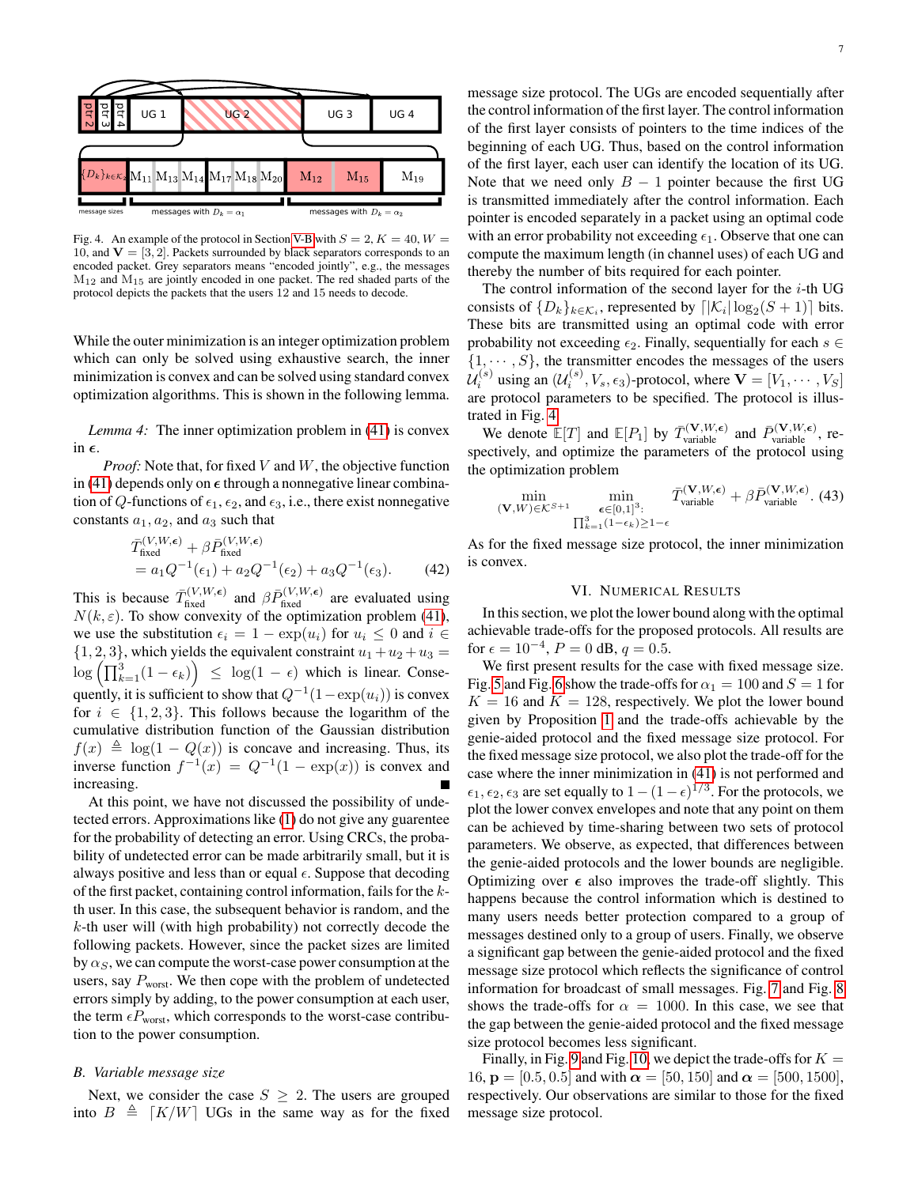

<span id="page-6-2"></span>Fig. 4. An example of the protocol in Section [V-B](#page-6-1) with  $S = 2, K = 40, W =$ 10, and  $V = \begin{bmatrix} 3, 2 \end{bmatrix}$ . Packets surrounded by black separators corresponds to an encoded packet. Grey separators means "encoded jointly", e.g., the messages  $M_{12}$  and  $M_{15}$  are jointly encoded in one packet. The red shaded parts of the protocol depicts the packets that the users 12 and 15 needs to decode.

While the outer minimization is an integer optimization problem which can only be solved using exhaustive search, the inner minimization is convex and can be solved using standard convex optimization algorithms. This is shown in the following lemma.

*Lemma 4:* The inner optimization problem in [\(41\)](#page-5-2) is convex in  $\epsilon$ .

*Proof:* Note that, for fixed V and W, the objective function in [\(41\)](#page-5-2) depends only on  $\epsilon$  through a nonnegative linear combination of Q-functions of  $\epsilon_1$ ,  $\epsilon_2$ , and  $\epsilon_3$ , i.e., there exist nonnegative constants  $a_1, a_2$ , and  $a_3$  such that

$$
\bar{T}^{(V,W,\epsilon)}_{\text{fixed}} + \beta \bar{P}^{(V,W,\epsilon)}_{\text{fixed}} \n= a_1 Q^{-1}(\epsilon_1) + a_2 Q^{-1}(\epsilon_2) + a_3 Q^{-1}(\epsilon_3).
$$
\n(42)

This is because  $\bar{T}_{\text{fixed}}^{(V,W,\epsilon)}$  and  $\beta \bar{P}_{\text{fixed}}^{(V,W,\epsilon)}$  are evaluated using  $N(k, \varepsilon)$ . To show convexity of the optimization problem [\(41\)](#page-5-2), we use the substitution  $\epsilon_i = 1 - \exp(u_i)$  for  $u_i \leq 0$  and  $i \in$  $\{1, 2, 3\}$ , which yields the equivalent constraint  $u_1 + u_2 + u_3 =$  $\log\left(\prod_{k=1}^{3}(1-\epsilon_k)\right) \leq \log(1-\epsilon)$  which is linear. Consequently, it is sufficient to show that  $Q^{-1}(1 - \exp(u_i))$  is convex for  $i \in \{1, 2, 3\}$ . This follows because the logarithm of the cumulative distribution function of the Gaussian distribution  $f(x) \triangleq \log(1 - Q(x))$  is concave and increasing. Thus, its inverse function  $f^{-1}(x) = Q^{-1}(1 - \exp(x))$  is convex and increasing.

At this point, we have not discussed the possibility of undetected errors. Approximations like [\(1\)](#page-0-0) do not give any guarentee for the probability of detecting an error. Using CRCs, the probability of undetected error can be made arbitrarily small, but it is always positive and less than or equal  $\epsilon$ . Suppose that decoding of the first packet, containing control information, fails for the kth user. In this case, the subsequent behavior is random, and the  $k$ -th user will (with high probability) not correctly decode the following packets. However, since the packet sizes are limited by  $\alpha_S$ , we can compute the worst-case power consumption at the users, say  $P_{worst}$ . We then cope with the problem of undetected errors simply by adding, to the power consumption at each user, the term  $\epsilon P_{\text{worst}}$ , which corresponds to the worst-case contribution to the power consumption.

#### <span id="page-6-1"></span>*B. Variable message size*

Next, we consider the case  $S \geq 2$ . The users are grouped into  $B \triangleq [K/W]$  UGs in the same way as for the fixed message size protocol. The UGs are encoded sequentially after the control information of the first layer. The control information of the first layer consists of pointers to the time indices of the beginning of each UG. Thus, based on the control information of the first layer, each user can identify the location of its UG. Note that we need only  $B - 1$  pointer because the first UG is transmitted immediately after the control information. Each pointer is encoded separately in a packet using an optimal code with an error probability not exceeding  $\epsilon_1$ . Observe that one can compute the maximum length (in channel uses) of each UG and thereby the number of bits required for each pointer.

The control information of the second layer for the  $i$ -th UG consists of  $\{D_k\}_{k \in \mathcal{K}_i}$ , represented by  $\lceil |\mathcal{K}_i| \log_2(S + 1) \rceil$  bits. These bits are transmitted using an optimal code with error probability not exceeding  $\epsilon_2$ . Finally, sequentially for each  $s \in \mathbb{R}$  $\{1, \dots, S\}$ , the transmitter encodes the messages of the users  $\mathcal{U}_{i}^{(s)}$  using an  $(\mathcal{U}_{i}^{(s)}, V_s, \epsilon_3)$ -protocol, where  $\mathbf{V} = [V_1, \cdots, V_S]$ are protocol parameters to be specified. The protocol is illustrated in Fig. [4.](#page-6-2)

We denote  $\mathbb{E}[T]$  and  $\mathbb{E}[P_1]$  by  $\overline{T}_{\text{variable}}^{(\mathbf{V},W,\epsilon)}$  and  $\overline{P}_{\text{variable}}^{(\mathbf{V},W,\epsilon)}$ , respectively, and optimize the parameters of the protocol using the optimization problem

$$
\min_{\substack{(\mathbf{V}, W) \in \mathcal{K}^{S+1} \\ \prod_{k=1}^{3} (1-\epsilon_k) \ge 1-\epsilon}} \bar{T}_{\text{variable}}^{(\mathbf{V}, W, \epsilon)} + \beta \bar{P}_{\text{variable}}^{(\mathbf{V}, W, \epsilon)}.
$$
(43)

As for the fixed message size protocol, the inner minimization is convex.

# VI. NUMERICAL RESULTS

<span id="page-6-0"></span>In this section, we plot the lower bound along with the optimal achievable trade-offs for the proposed protocols. All results are for  $\epsilon = 10^{-4}$ ,  $P = 0$  dB,  $q = 0.5$ .

We first present results for the case with fixed message size. Fig. [5](#page-7-1) and Fig. [6](#page-7-2) show the trade-offs for  $\alpha_1 = 100$  and  $S = 1$  for  $K = 16$  and  $K = 128$ , respectively. We plot the lower bound given by Proposition [1](#page-4-0) and the trade-offs achievable by the genie-aided protocol and the fixed message size protocol. For the fixed message size protocol, we also plot the trade-off for the case where the inner minimization in [\(41\)](#page-5-2) is not performed and  $\epsilon_1, \epsilon_2, \epsilon_3$  are set equally to  $1 - (1 - \epsilon)^{1/3}$ . For the protocols, we plot the lower convex envelopes and note that any point on them can be achieved by time-sharing between two sets of protocol parameters. We observe, as expected, that differences between the genie-aided protocols and the lower bounds are negligible. Optimizing over  $\epsilon$  also improves the trade-off slightly. This happens because the control information which is destined to many users needs better protection compared to a group of messages destined only to a group of users. Finally, we observe a significant gap between the genie-aided protocol and the fixed message size protocol which reflects the significance of control information for broadcast of small messages. Fig. [7](#page-7-3) and Fig. [8](#page-7-4) shows the trade-offs for  $\alpha = 1000$ . In this case, we see that the gap between the genie-aided protocol and the fixed message size protocol becomes less significant.

Finally, in Fig. [9](#page-8-1) and Fig. [10,](#page-8-2) we depict the trade-offs for  $K =$ 16,  $\mathbf{p} = [0.5, 0.5]$  and with  $\alpha = [50, 150]$  and  $\alpha = [500, 1500]$ , respectively. Our observations are similar to those for the fixed message size protocol.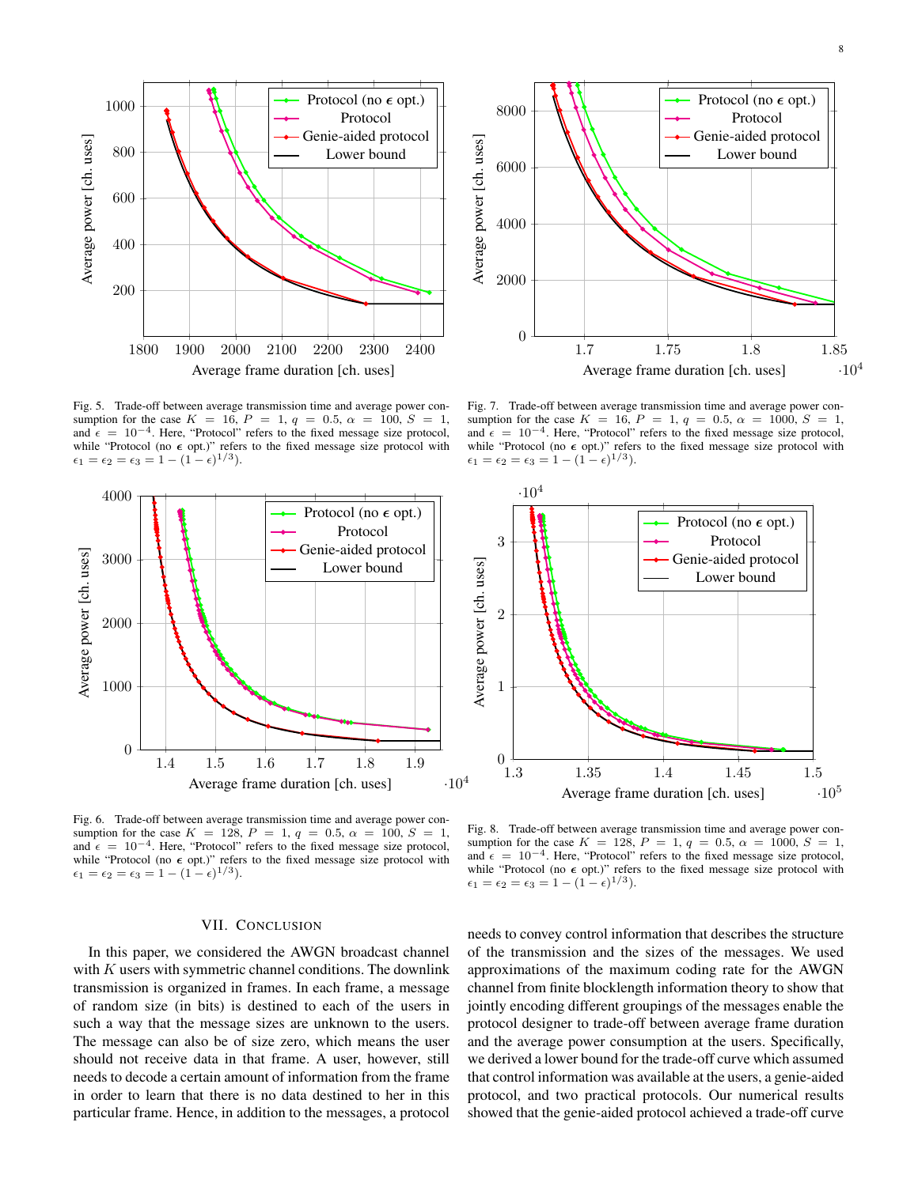

<span id="page-7-1"></span>Fig. 5. Trade-off between average transmission time and average power consumption for the case  $K = 16$ ,  $P = 1$ ,  $q = 0.5$ ,  $\alpha = 100$ ,  $S = 1$ , and  $\epsilon = 10^{-4}$ . Here, "Protocol" refers to the fixed message size protocol, while "Protocol (no  $\epsilon$  opt.)" refers to the fixed message size protocol with  $\epsilon_1 = \epsilon_2 = \epsilon_3 = 1 - (1 - \epsilon)^{1/3}.$ 



Protocol (no  $\epsilon$  opt.) 8000 Protocol Genie-aided protocol Average power [ch. uses] Average power [ch. uses] Lower bound 6000 4000 2000 0 1.7 1.75 1.8 1.85  $\cdot 10^{4}$ Average frame duration [ch. uses]

<span id="page-7-3"></span>Fig. 7. Trade-off between average transmission time and average power consumption for the case  $K = 16$ ,  $P = 1$ ,  $q = 0.5$ ,  $\alpha = 1000$ ,  $S = 1$ , and  $\epsilon = 10^{-4}$ . Here, "Protocol" refers to the fixed message size protocol, while "Protocol (no  $\epsilon$  opt.)" refers to the fixed message size protocol with  $\epsilon_1 = \epsilon_2 = \epsilon_3 = 1 - (1 - \epsilon)^{1/3}.$ 



<span id="page-7-2"></span>Fig. 6. Trade-off between average transmission time and average power consumption for the case  $K = 128$ ,  $P = 1$ ,  $q = 0.5$ ,  $\alpha = 100$ ,  $S = 1$ , and  $\epsilon = 10^{-4}$ . Here, "Protocol" refers to the fixed message size protocol, while "Protocol (no  $\epsilon$  opt.)" refers to the fixed message size protocol with  $\epsilon_1 = \epsilon_2 = \epsilon_3 = 1 - (1 - \epsilon)^{1/3}.$ 

## VII. CONCLUSION

<span id="page-7-0"></span>In this paper, we considered the AWGN broadcast channel with  $K$  users with symmetric channel conditions. The downlink transmission is organized in frames. In each frame, a message of random size (in bits) is destined to each of the users in such a way that the message sizes are unknown to the users. The message can also be of size zero, which means the user should not receive data in that frame. A user, however, still needs to decode a certain amount of information from the frame in order to learn that there is no data destined to her in this particular frame. Hence, in addition to the messages, a protocol

<span id="page-7-4"></span>Fig. 8. Trade-off between average transmission time and average power consumption for the case  $K = 128$ ,  $P = 1$ ,  $q = 0.5$ ,  $\alpha = 1000$ ,  $S = 1$ , and  $\epsilon = 10^{-4}$ . Here, "Protocol" refers to the fixed message size protocol, while "Protocol (no  $\epsilon$  opt.)" refers to the fixed message size protocol with  $\epsilon_1 = \epsilon_2 = \epsilon_3 = 1 - (1 - \epsilon)^{1/3}.$ 

needs to convey control information that describes the structure of the transmission and the sizes of the messages. We used approximations of the maximum coding rate for the AWGN channel from finite blocklength information theory to show that jointly encoding different groupings of the messages enable the protocol designer to trade-off between average frame duration and the average power consumption at the users. Specifically, we derived a lower bound for the trade-off curve which assumed that control information was available at the users, a genie-aided protocol, and two practical protocols. Our numerical results showed that the genie-aided protocol achieved a trade-off curve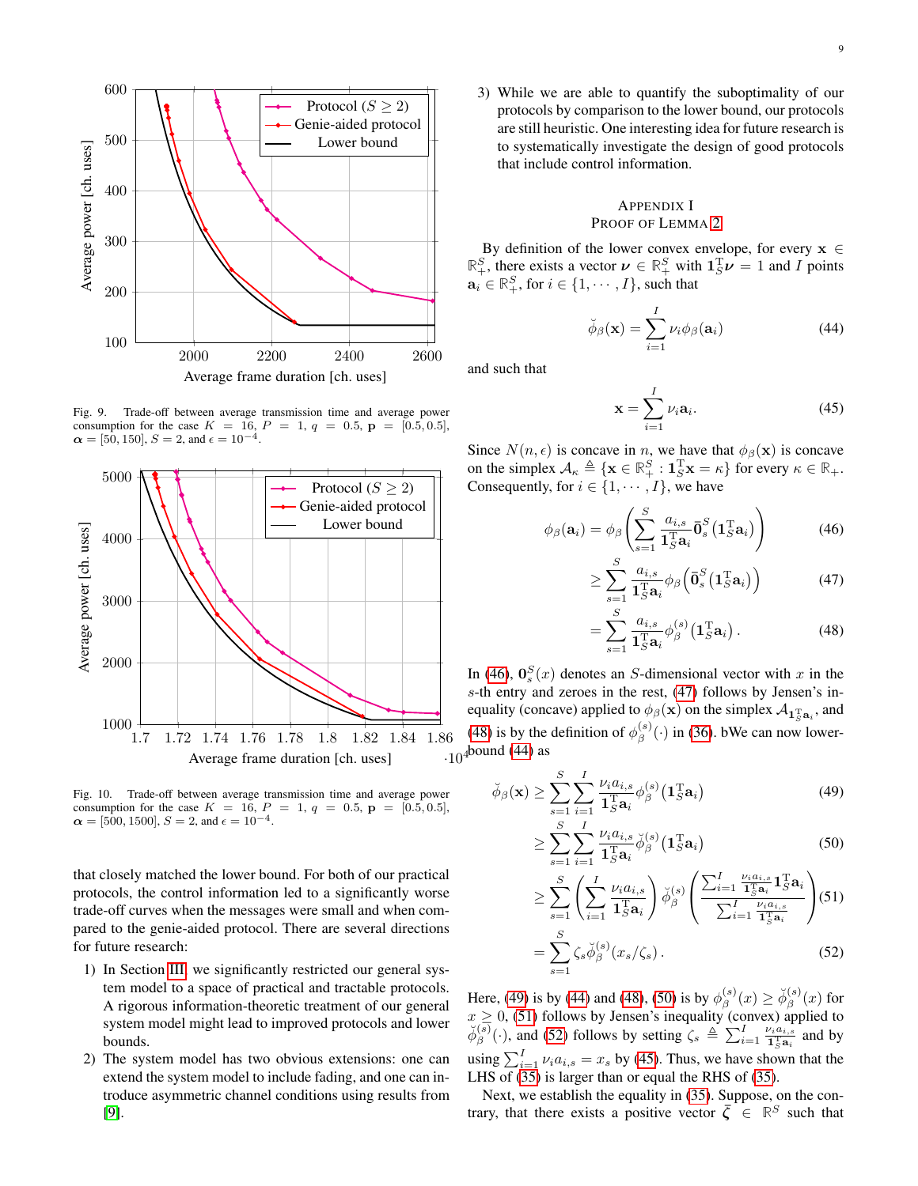

<span id="page-8-1"></span>Fig. 9. Trade-off between average transmission time and average power consumption for the case  $K = 16$ ,  $P = 1$ ,  $q = 0.5$ ,  $p = [0.5, 0.5]$ ,  $\alpha = [50, 150], S = 2$ , and  $\epsilon = 10^{-4}$ .



<span id="page-8-2"></span>Fig. 10. Trade-off between average transmission time and average power consumption for the case  $K = 16$ ,  $P = 1$ ,  $q = 0.5$ ,  $p = [0.5, 0.5]$ ,  $\alpha = [500, 1500], S = 2$ , and  $\epsilon = 10^{-4}$ .

that closely matched the lower bound. For both of our practical protocols, the control information led to a significantly worse trade-off curves when the messages were small and when compared to the genie-aided protocol. There are several directions for future research:

- 1) In Section [III,](#page-2-0) we significantly restricted our general system model to a space of practical and tractable protocols. A rigorous information-theoretic treatment of our general system model might lead to improved protocols and lower bounds.
- 2) The system model has two obvious extensions: one can extend the system model to include fading, and one can introduce asymmetric channel conditions using results from [\[9\]](#page-9-8).

3) While we are able to quantify the suboptimality of our protocols by comparison to the lower bound, our protocols are still heuristic. One interesting idea for future research is to systematically investigate the design of good protocols that include control information.

# <span id="page-8-0"></span>APPENDIX I PROOF OF LEMMA [2](#page-4-1)

By definition of the lower convex envelope, for every  $x \in$  $\mathbb{R}^S_+$ , there exists a vector  $\nu \in \mathbb{R}^S_+$  with  $\mathbf{1}_S^T \nu = 1$  and I points  $\mathbf{a}_i \in \mathbb{R}_+^S$ , for  $i \in \{1, \cdots, I\}$ , such that

$$
\breve{\phi}_{\beta}(\mathbf{x}) = \sum_{i=1}^{I} \nu_i \phi_{\beta}(\mathbf{a}_i)
$$
\n(44)

and such that

$$
\mathbf{x} = \sum_{i=1}^{I} \nu_i \mathbf{a}_i.
$$
 (45)

Since  $N(n, \epsilon)$  is concave in n, we have that  $\phi_{\beta}(\mathbf{x})$  is concave on the simplex  $A_{\kappa} \triangleq {\mathbf{x} \in \mathbb{R}_{+}^{S} : \mathbf{1}_{S}^{T} \mathbf{x} = \kappa}$  for every  $\kappa \in \mathbb{R}_{+}$ . Consequently, for  $i \in \{1, \cdots, I\}$ , we have

$$
\phi_{\beta}(\mathbf{a}_i) = \phi_{\beta} \left( \sum_{s=1}^{S} \frac{a_{i,s}}{\mathbf{1}_{S}^{T} \mathbf{a}_i} \bar{\mathbf{0}}_s^{S} (\mathbf{1}_{S}^{T} \mathbf{a}_i) \right)
$$
(46)

$$
\geq \sum_{s=1}^{S} \frac{a_{i,s}}{\mathbf{1}_{S}^{\mathrm{T}} \mathbf{a}_{i}} \phi_{\beta} \left( \bar{\mathbf{0}}_{s}^{S} \left( \mathbf{1}_{S}^{\mathrm{T}} \mathbf{a}_{i} \right) \right)
$$
(47)

$$
= \sum_{s=1}^{S} \frac{a_{i,s}}{\mathbf{1}_{S}^{\mathrm{T}} \mathbf{a}_{i}} \phi_{\beta}^{(s)} \left( \mathbf{1}_{S}^{\mathrm{T}} \mathbf{a}_{i} \right). \tag{48}
$$

 $\cdot 10^{4}$ bound [\(44\)](#page-8-0) as In [\(46\)](#page-8-0),  $\mathbf{0}_s^S(x)$  denotes an S-dimensional vector with x in the s-th entry and zeroes in the rest, [\(47\)](#page-8-0) follows by Jensen's inequality (concave) applied to  $\phi_\beta(\mathbf{x})$  on the simplex  $\mathcal{A}_{\mathbf{1}_S^{\mathbf{T}}\mathbf{a}_i}$ , and [\(48\)](#page-8-0) is by the definition of  $\phi_{\beta}^{(s)}$  $\beta^{(s)}(\cdot)$  in [\(36\)](#page-4-1). bWe can now lower-

$$
\breve{\phi}_{\beta}(\mathbf{x}) \ge \sum_{s=1}^{S} \sum_{i=1}^{I} \frac{\nu_i a_{i,s}}{\mathbf{1}_{S}^{\mathrm{T}} \mathbf{a}_i} \phi_{\beta}^{(s)}(\mathbf{1}_{S}^{\mathrm{T}} \mathbf{a}_i)
$$
(49)

$$
\geq \sum_{s=1}^{S} \sum_{i=1}^{I} \frac{\nu_i a_{i,s}}{\mathbf{1}_S^{\mathrm{T}} \mathbf{a}_i} \breve{\phi}_{\beta}^{(s)} \left( \mathbf{1}_S^{\mathrm{T}} \mathbf{a}_i \right)
$$
(50)

$$
\geq \sum_{s=1}^{S} \left( \sum_{i=1}^{I} \frac{\nu_i a_{i,s}}{\mathbf{1}_{S}^{T} \mathbf{a}_i} \right) \breve{\phi}_{\beta}^{(s)} \left( \frac{\sum_{i=1}^{I} \frac{\nu_i a_{i,s}}{\mathbf{1}_{S}^{T} \mathbf{a}_i} \mathbf{1}_{S}^{T} \mathbf{a}_i}{\sum_{i=1}^{I} \frac{\nu_i a_{i,s}}{\mathbf{1}_{S}^{T} \mathbf{a}_i}} \right) (51)
$$

$$
= \sum_{s=1}^{S} \zeta_s \breve{\phi}_{\beta}^{(s)}(x_s/\zeta_s).
$$

Here, [\(49\)](#page-8-0) is by [\(44\)](#page-8-0) and [\(48\)](#page-8-0), [\(50\)](#page-8-0) is by  $\phi_{\beta}^{(s)}$  $\check{\phi}_{\beta}^{(s)}(x) \geq \check{\phi}_{\beta}^{(s)}$  $\int_{\beta}^{(s)}(x)$  for  $x \geq 0$ , [\(51\)](#page-8-0) follows by Jensen's inequality (convex) applied to  $\breve{\phi}_{\beta}^{(s)}$  $\beta_{\beta}^{(s)}(\cdot)$ , and [\(52\)](#page-8-0) follows by setting  $\zeta_s \triangleq \sum_{i=1}^I \frac{\nu_i a_{i,s}}{1 \cdot s_{i,s}}$  $\frac{\partial_i a_{i,s}}{\partial_i \mathbf{a}_i}$  and by using  $\sum_{i=1}^{I} \nu_i a_{i,s} = x_s$  by [\(45\)](#page-8-0). Thus, we have shown that the LHS of [\(35\)](#page-4-1) is larger than or equal the RHS of [\(35\)](#page-4-1).

Next, we establish the equality in [\(35\)](#page-4-1). Suppose, on the contrary, that there exists a positive vector  $\overline{\zeta} \in \mathbb{R}^S$  such that